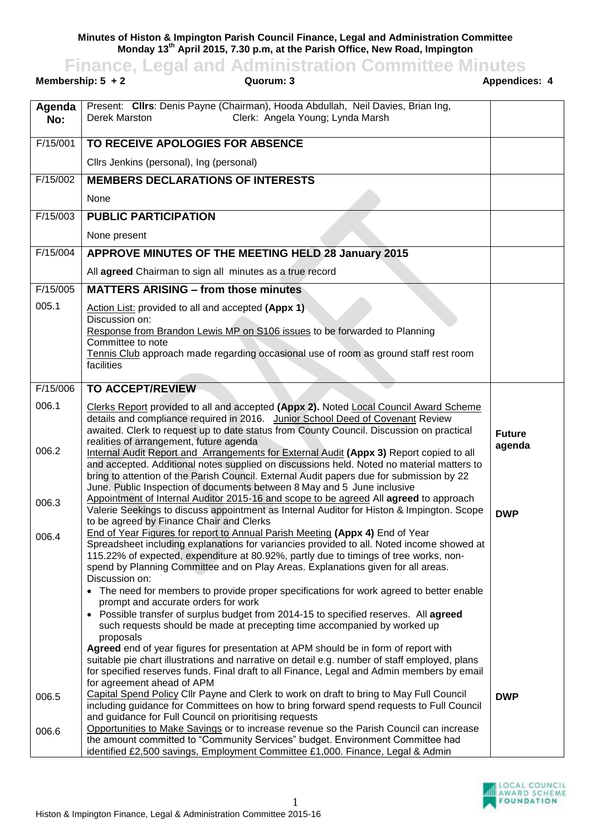**Minutes of Histon & Impington Parish Council Finance, Legal and Administration Committee Monday 13th April 2015, 7.30 p.m, at the Parish Office, New Road, Impington Finance, Legal and Administration Committee Minutes**

| Membership: $5 + 2$<br>Quorum: 3 |                                                                                                                                                                                                                                                                                                                                                                                                                   | <b>Appendices: 4</b> |
|----------------------------------|-------------------------------------------------------------------------------------------------------------------------------------------------------------------------------------------------------------------------------------------------------------------------------------------------------------------------------------------------------------------------------------------------------------------|----------------------|
| Agenda<br>No:                    | Present: Cllrs: Denis Payne (Chairman), Hooda Abdullah, Neil Davies, Brian Ing,<br>Clerk: Angela Young; Lynda Marsh<br>Derek Marston                                                                                                                                                                                                                                                                              |                      |
| F/15/001                         | TO RECEIVE APOLOGIES FOR ABSENCE                                                                                                                                                                                                                                                                                                                                                                                  |                      |
|                                  | Cllrs Jenkins (personal), Ing (personal)                                                                                                                                                                                                                                                                                                                                                                          |                      |
| F/15/002                         | <b>MEMBERS DECLARATIONS OF INTERESTS</b>                                                                                                                                                                                                                                                                                                                                                                          |                      |
|                                  | None                                                                                                                                                                                                                                                                                                                                                                                                              |                      |
| F/15/003                         | <b>PUBLIC PARTICIPATION</b>                                                                                                                                                                                                                                                                                                                                                                                       |                      |
|                                  | None present                                                                                                                                                                                                                                                                                                                                                                                                      |                      |
| F/15/004                         | APPROVE MINUTES OF THE MEETING HELD 28 January 2015                                                                                                                                                                                                                                                                                                                                                               |                      |
|                                  | All agreed Chairman to sign all minutes as a true record                                                                                                                                                                                                                                                                                                                                                          |                      |
| F/15/005                         | <b>MATTERS ARISING - from those minutes</b>                                                                                                                                                                                                                                                                                                                                                                       |                      |
| 005.1                            | Action List: provided to all and accepted (Appx 1)<br>Discussion on:<br>Response from Brandon Lewis MP on S106 issues to be forwarded to Planning<br>Committee to note<br>Tennis Club approach made regarding occasional use of room as ground staff rest room<br>facilities                                                                                                                                      |                      |
| F/15/006                         | <b>TO ACCEPT/REVIEW</b>                                                                                                                                                                                                                                                                                                                                                                                           |                      |
| 006.1                            | Clerks Report provided to all and accepted (Appx 2). Noted Local Council Award Scheme<br>details and compliance required in 2016. Junior School Deed of Covenant Review<br>awaited. Clerk to request up to date status from County Council. Discussion on practical<br>realities of arrangement, future agenda                                                                                                    | <b>Future</b>        |
| 006.2                            | Internal Audit Report and Arrangements for External Audit (Appx 3) Report copied to all<br>and accepted. Additional notes supplied on discussions held. Noted no material matters to<br>bring to attention of the Parish Council. External Audit papers due for submission by 22<br>June. Public Inspection of documents between 8 May and 5 June inclusive                                                       | agenda               |
| 006.3                            | Appointment of Internal Auditor 2015-16 and scope to be agreed All agreed to approach<br>Valerie Seekings to discuss appointment as Internal Auditor for Histon & Impington. Scope<br>to be agreed by Finance Chair and Clerks                                                                                                                                                                                    | <b>DWP</b>           |
| 006.4                            | End of Year Figures for report to Annual Parish Meeting (Appx 4) End of Year<br>Spreadsheet including explanations for variancies provided to all. Noted income showed at<br>115.22% of expected, expenditure at 80.92%, partly due to timings of tree works, non-<br>spend by Planning Committee and on Play Areas. Explanations given for all areas.<br>Discussion on:                                          |                      |
|                                  | • The need for members to provide proper specifications for work agreed to better enable<br>prompt and accurate orders for work<br>• Possible transfer of surplus budget from 2014-15 to specified reserves. All agreed<br>such requests should be made at precepting time accompanied by worked up<br>proposals<br>Agreed end of year figures for presentation at APM should be in form of report with           |                      |
| 006.5                            | suitable pie chart illustrations and narrative on detail e.g. number of staff employed, plans<br>for specified reserves funds. Final draft to all Finance, Legal and Admin members by email<br>for agreement ahead of APM<br>Capital Spend Policy Cllr Payne and Clerk to work on draft to bring to May Full Council                                                                                              | <b>DWP</b>           |
| 006.6                            | including guidance for Committees on how to bring forward spend requests to Full Council<br>and guidance for Full Council on prioritising requests<br>Opportunities to Make Savings or to increase revenue so the Parish Council can increase<br>the amount committed to "Community Services" budget. Environment Committee had<br>identified £2,500 savings, Employment Committee £1,000. Finance, Legal & Admin |                      |